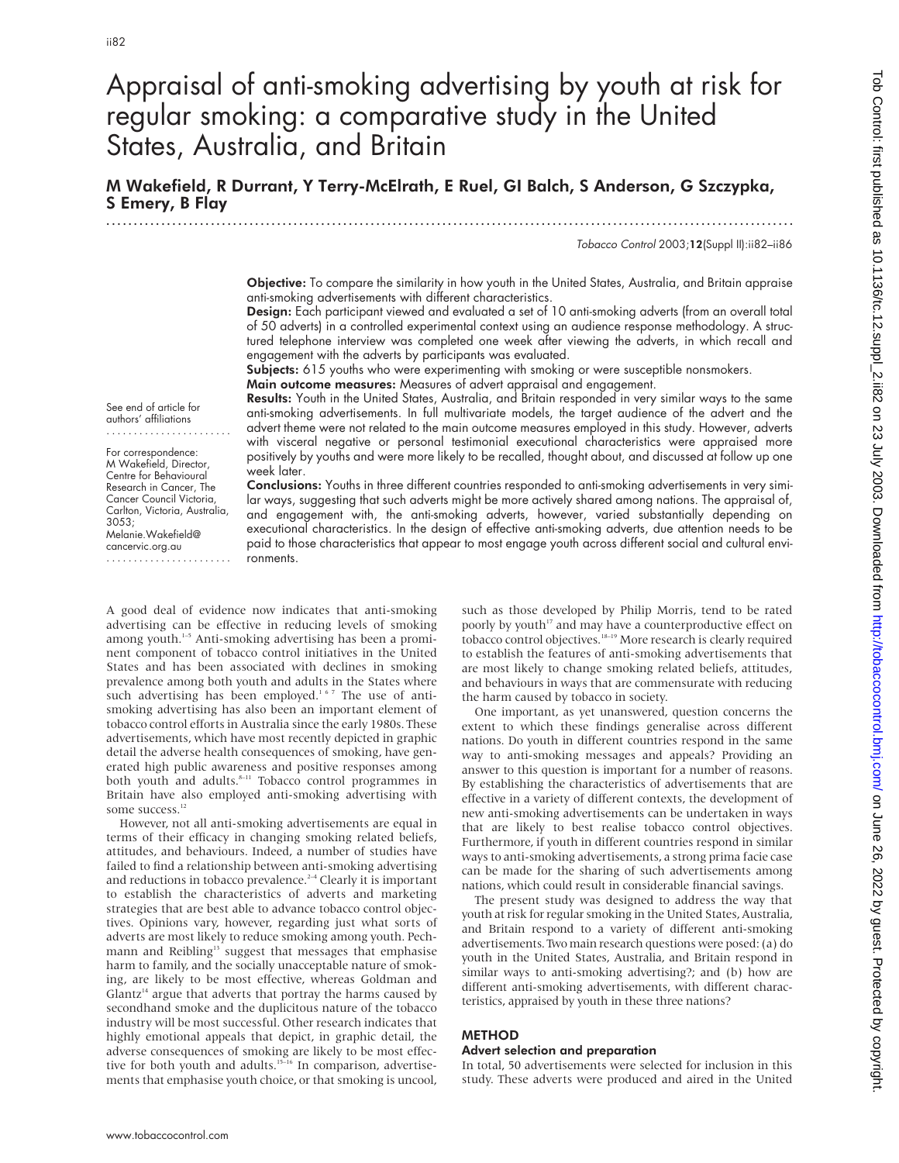# Appraisal of anti-smoking advertising by youth at risk for regular smoking: a comparative study in the United States, Australia, and Britain

M Wakefield, R Durrant, Y Terry-McElrath, E Ruel, GI Balch, S Anderson, G Szczypka, S Emery, B Flay

Tobacco Control 2003;12(Suppl II):ii82–ii86

Objective: To compare the similarity in how youth in the United States, Australia, and Britain appraise anti-smoking advertisements with different characteristics.

.............................................................................................................................

Design: Each participant viewed and evaluated a set of 10 anti-smoking adverts (from an overall total of 50 adverts) in a controlled experimental context using an audience response methodology. A structured telephone interview was completed one week after viewing the adverts, in which recall and engagement with the adverts by participants was evaluated.

Subjects: 615 youths who were experimenting with smoking or were susceptible nonsmokers.

Main outcome measures: Measures of advert appraisal and engagement.

Results: Youth in the United States, Australia, and Britain responded in very similar ways to the same anti-smoking advertisements. In full multivariate models, the target audience of the advert and the advert theme were not related to the main outcome measures employed in this study. However, adverts with visceral negative or personal testimonial executional characteristics were appraised more positively by youths and were more likely to be recalled, thought about, and discussed at follow up one week later.

Conclusions: Youths in three different countries responded to anti-smoking advertisements in very similar ways, suggesting that such adverts might be more actively shared among nations. The appraisal of, and engagement with, the anti-smoking adverts, however, varied substantially depending on executional characteristics. In the design of effective anti-smoking adverts, due attention needs to be paid to those characteristics that appear to most engage youth across different social and cultural environments.

See end of article for authors' affiliations .......................

For correspondence: M Wakefield, Director, Centre for Behavioural Research in Cancer, The Cancer Council Victoria, Carlton, Victoria, Australia, 3053; Melanie.Wakefield@ cancervic.org.au .......................

A good deal of evidence now indicates that anti-smoking advertising can be effective in reducing levels of smoking among youth.<sup>1-5</sup> Anti-smoking advertising has been a prominent component of tobacco control initiatives in the United States and has been associated with declines in smoking prevalence among both youth and adults in the States where such advertising has been employed.<sup>167</sup> The use of antismoking advertising has also been an important element of tobacco control efforts in Australia since the early 1980s. These advertisements, which have most recently depicted in graphic detail the adverse health consequences of smoking, have generated high public awareness and positive responses among both youth and adults.<sup>8-11</sup> Tobacco control programmes in Britain have also employed anti-smoking advertising with some success.<sup>12</sup>

However, not all anti-smoking advertisements are equal in terms of their efficacy in changing smoking related beliefs, attitudes, and behaviours. Indeed, a number of studies have failed to find a relationship between anti-smoking advertising and reductions in tobacco prevalence. $2-4$  Clearly it is important to establish the characteristics of adverts and marketing strategies that are best able to advance tobacco control objectives. Opinions vary, however, regarding just what sorts of adverts are most likely to reduce smoking among youth. Pechmann and Reibling<sup>13</sup> suggest that messages that emphasise harm to family, and the socially unacceptable nature of smoking, are likely to be most effective, whereas Goldman and  $G$ lantz<sup>14</sup> argue that adverts that portray the harms caused by secondhand smoke and the duplicitous nature of the tobacco industry will be most successful. Other research indicates that highly emotional appeals that depict, in graphic detail, the adverse consequences of smoking are likely to be most effective for both youth and adults.<sup>15–16</sup> In comparison, advertisements that emphasise youth choice, or that smoking is uncool,

such as those developed by Philip Morris, tend to be rated poorly by youth<sup>17</sup> and may have a counterproductive effect on tobacco control objectives.<sup>18-19</sup> More research is clearly required to establish the features of anti-smoking advertisements that are most likely to change smoking related beliefs, attitudes, and behaviours in ways that are commensurate with reducing the harm caused by tobacco in society.

One important, as yet unanswered, question concerns the extent to which these findings generalise across different nations. Do youth in different countries respond in the same way to anti-smoking messages and appeals? Providing an answer to this question is important for a number of reasons. By establishing the characteristics of advertisements that are effective in a variety of different contexts, the development of new anti-smoking advertisements can be undertaken in ways that are likely to best realise tobacco control objectives. Furthermore, if youth in different countries respond in similar ways to anti-smoking advertisements, a strong prima facie case can be made for the sharing of such advertisements among nations, which could result in considerable financial savings.

The present study was designed to address the way that youth at risk for regular smoking in the United States, Australia, and Britain respond to a variety of different anti-smoking advertisements. Two main research questions were posed: (a) do youth in the United States, Australia, and Britain respond in similar ways to anti-smoking advertising?; and (b) how are different anti-smoking advertisements, with different characteristics, appraised by youth in these three nations?

## METHOD

## Advert selection and preparation

In total, 50 advertisements were selected for inclusion in this study. These adverts were produced and aired in the United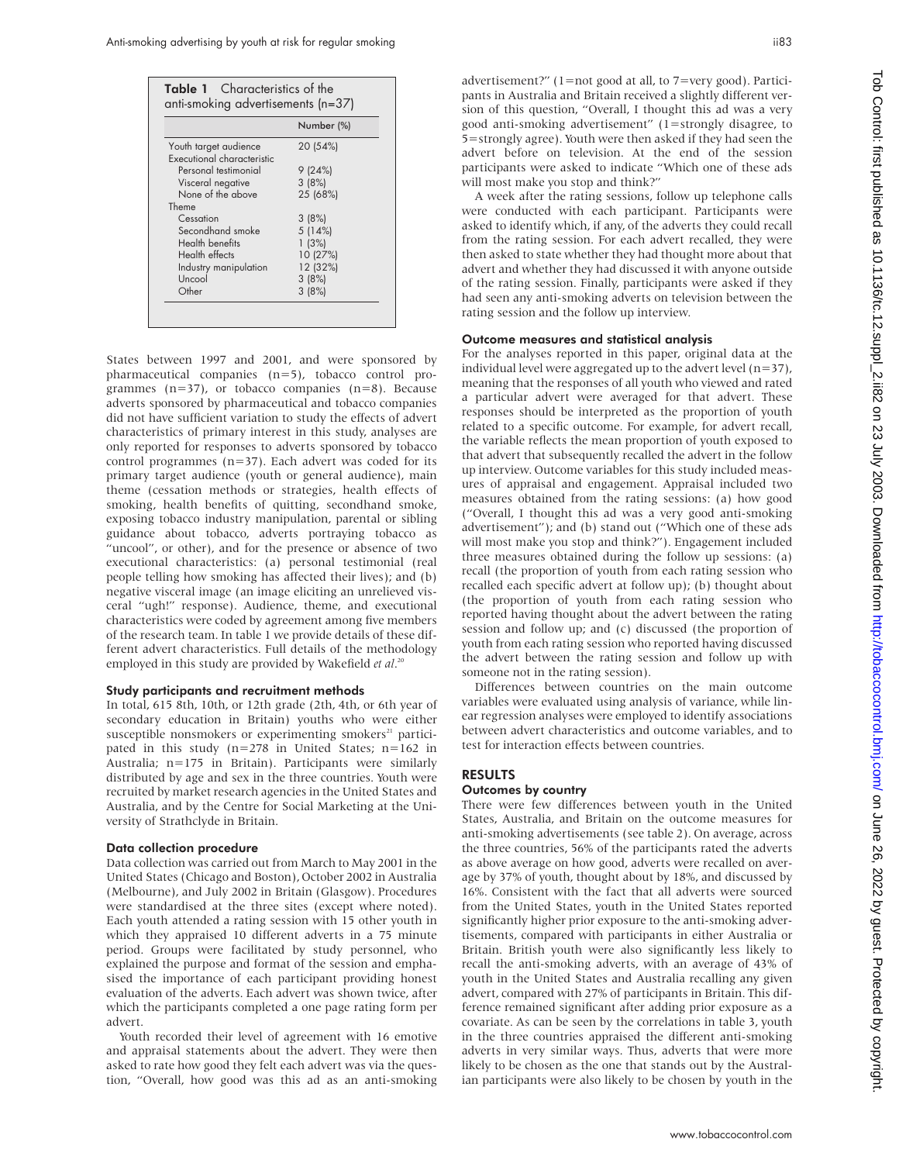|                            | Number (%) |
|----------------------------|------------|
| Youth target audience      | 20 (54%)   |
| Executional characteristic |            |
| Personal testimonial       | 9 (24%)    |
| Visceral negative          | 3(8%)      |
| None of the above          | 25 (68%)   |
| Theme                      |            |
| Cessation                  | 3(8%)      |
| Secondhand smoke           | 5(14%)     |
| Health benefits            | 1(3%)      |
| Health effects             | 10 (27%)   |
| Industry manipulation      | 12 (32%)   |
| Uncool                     | 3(8%)      |
| Other                      | 3(8%)      |

States between 1997 and 2001, and were sponsored by pharmaceutical companies (n=5), tobacco control programmes  $(n=37)$ , or tobacco companies  $(n=8)$ . Because adverts sponsored by pharmaceutical and tobacco companies did not have sufficient variation to study the effects of advert characteristics of primary interest in this study, analyses are only reported for responses to adverts sponsored by tobacco control programmes (n=37). Each advert was coded for its primary target audience (youth or general audience), main theme (cessation methods or strategies, health effects of smoking, health benefits of quitting, secondhand smoke, exposing tobacco industry manipulation, parental or sibling guidance about tobacco, adverts portraying tobacco as "uncool", or other), and for the presence or absence of two executional characteristics: (a) personal testimonial (real people telling how smoking has affected their lives); and (b) negative visceral image (an image eliciting an unrelieved visceral "ugh!" response). Audience, theme, and executional characteristics were coded by agreement among five members of the research team. In table 1 we provide details of these different advert characteristics. Full details of the methodology employed in this study are provided by Wakefield *et al*. 20

#### Study participants and recruitment methods

In total, 615 8th, 10th, or 12th grade (2th, 4th, or 6th year of secondary education in Britain) youths who were either susceptible nonsmokers or experimenting smokers<sup>21</sup> participated in this study (n=278 in United States; n=162 in Australia; n=175 in Britain). Participants were similarly distributed by age and sex in the three countries. Youth were recruited by market research agencies in the United States and Australia, and by the Centre for Social Marketing at the University of Strathclyde in Britain.

### Data collection procedure

Data collection was carried out from March to May 2001 in the United States (Chicago and Boston), October 2002 in Australia (Melbourne), and July 2002 in Britain (Glasgow). Procedures were standardised at the three sites (except where noted). Each youth attended a rating session with 15 other youth in which they appraised 10 different adverts in a 75 minute period. Groups were facilitated by study personnel, who explained the purpose and format of the session and emphasised the importance of each participant providing honest evaluation of the adverts. Each advert was shown twice, after which the participants completed a one page rating form per advert.

Youth recorded their level of agreement with 16 emotive and appraisal statements about the advert. They were then asked to rate how good they felt each advert was via the question, "Overall, how good was this ad as an anti-smoking

advertisement?" (1=not good at all, to 7=very good). Participants in Australia and Britain received a slightly different version of this question, "Overall, I thought this ad was a very good anti-smoking advertisement" (1=strongly disagree, to 5=strongly agree). Youth were then asked if they had seen the advert before on television. At the end of the session participants were asked to indicate "Which one of these ads will most make you stop and think?"

A week after the rating sessions, follow up telephone calls were conducted with each participant. Participants were asked to identify which, if any, of the adverts they could recall from the rating session. For each advert recalled, they were then asked to state whether they had thought more about that advert and whether they had discussed it with anyone outside of the rating session. Finally, participants were asked if they had seen any anti-smoking adverts on television between the rating session and the follow up interview.

## Outcome measures and statistical analysis

For the analyses reported in this paper, original data at the individual level were aggregated up to the advert level  $(n=37)$ , meaning that the responses of all youth who viewed and rated a particular advert were averaged for that advert. These responses should be interpreted as the proportion of youth related to a specific outcome. For example, for advert recall, the variable reflects the mean proportion of youth exposed to that advert that subsequently recalled the advert in the follow up interview. Outcome variables for this study included measures of appraisal and engagement. Appraisal included two measures obtained from the rating sessions: (a) how good ("Overall, I thought this ad was a very good anti-smoking advertisement"); and (b) stand out ("Which one of these ads will most make you stop and think?"). Engagement included three measures obtained during the follow up sessions: (a) recall (the proportion of youth from each rating session who recalled each specific advert at follow up); (b) thought about (the proportion of youth from each rating session who reported having thought about the advert between the rating session and follow up; and (c) discussed (the proportion of youth from each rating session who reported having discussed the advert between the rating session and follow up with someone not in the rating session).

Differences between countries on the main outcome variables were evaluated using analysis of variance, while linear regression analyses were employed to identify associations between advert characteristics and outcome variables, and to test for interaction effects between countries.

## RESULTS

## Outcomes by country

There were few differences between youth in the United States, Australia, and Britain on the outcome measures for anti-smoking advertisements (see table 2). On average, across the three countries, 56% of the participants rated the adverts as above average on how good, adverts were recalled on average by 37% of youth, thought about by 18%, and discussed by 16%. Consistent with the fact that all adverts were sourced from the United States, youth in the United States reported significantly higher prior exposure to the anti-smoking advertisements, compared with participants in either Australia or Britain. British youth were also significantly less likely to recall the anti-smoking adverts, with an average of 43% of youth in the United States and Australia recalling any given advert, compared with 27% of participants in Britain. This difference remained significant after adding prior exposure as a covariate. As can be seen by the correlations in table 3, youth in the three countries appraised the different anti-smoking adverts in very similar ways. Thus, adverts that were more likely to be chosen as the one that stands out by the Australian participants were also likely to be chosen by youth in the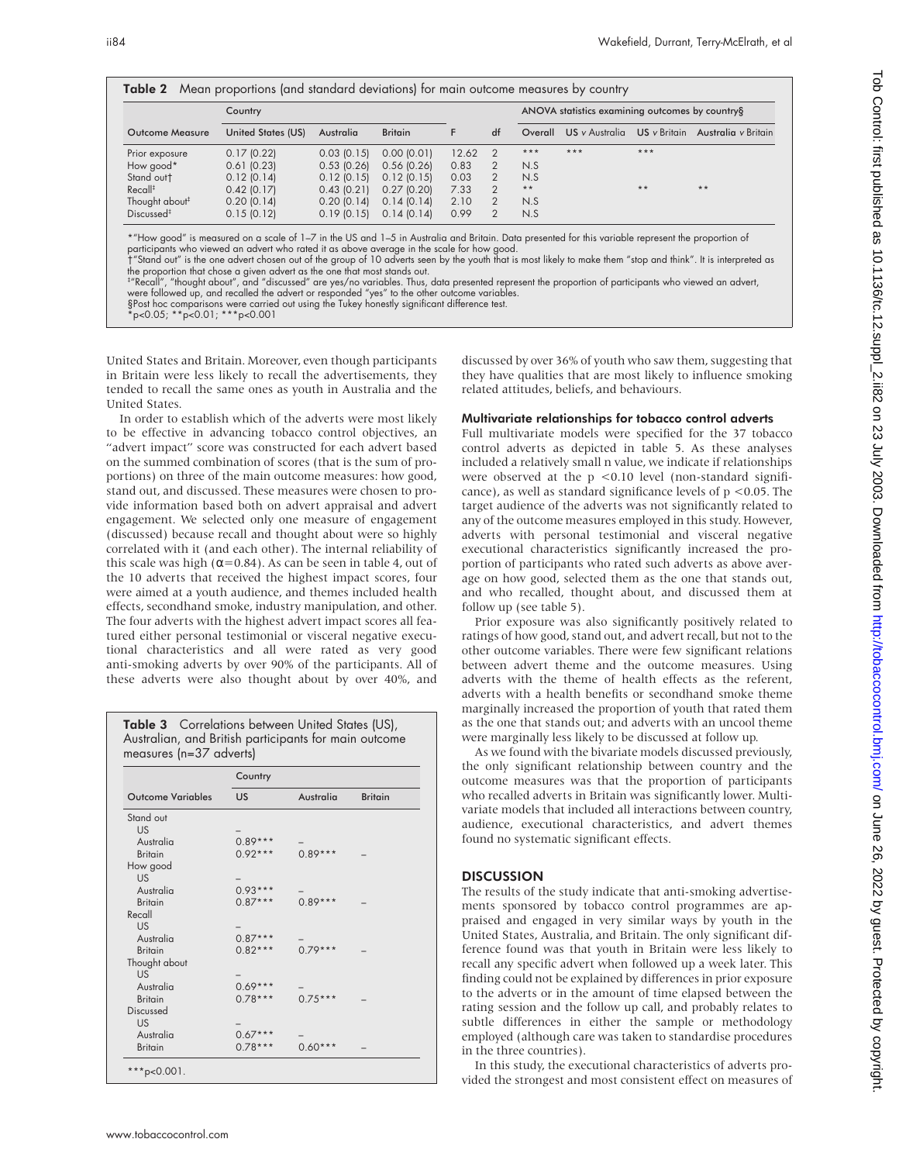|                    | Country       |                |       |    | ANOVA statistics examining outcomes by country§ |       |       |                                                 |  |  |
|--------------------|---------------|----------------|-------|----|-------------------------------------------------|-------|-------|-------------------------------------------------|--|--|
| United States (US) | Australia     | <b>Britain</b> | F     | df | Overall                                         |       |       | US v Australia US v Britain Australia v Britain |  |  |
| 0.17(0.22)         | $0.03$ (0.15) | 0.00(0.01)     | 12.62 | 2  | $***$                                           | $***$ | $***$ |                                                 |  |  |
| 0.61(0.23)         | $0.53$ (0.26) | $0.56$ (0.26)  | 0.83  | 2  | N.S                                             |       |       |                                                 |  |  |
| $0.12$ (0.14)      | 0.12(0.15)    | $0.12$ (0.15)  | 0.03  | 2  | N.S                                             |       |       |                                                 |  |  |
| $0.42$ (0.17)      | 0.43(0.21)    | 0.27(0.20)     | 7.33  | 2  | $\star$ $\star$                                 |       | $***$ | $***$                                           |  |  |
| 0.20(0.14)         | 0.20(0.14)    | 0.14(0.14)     | 2.10  | 2  | N.S                                             |       |       |                                                 |  |  |
| 0.15(0.12)         | 0.19(0.15)    | 0.14(0.14)     | 0.99  | 2  | N.S                                             |       |       |                                                 |  |  |
|                    |               |                |       |    |                                                 |       |       |                                                 |  |  |

United States and Britain. Moreover, even though participants in Britain were less likely to recall the advertisements, they tended to recall the same ones as youth in Australia and the United States.

In order to establish which of the adverts were most likely to be effective in advancing tobacco control objectives, an "advert impact" score was constructed for each advert based on the summed combination of scores (that is the sum of proportions) on three of the main outcome measures: how good, stand out, and discussed. These measures were chosen to provide information based both on advert appraisal and advert engagement. We selected only one measure of engagement (discussed) because recall and thought about were so highly correlated with it (and each other). The internal reliability of this scale was high ( $\alpha$ =0.84). As can be seen in table 4, out of the 10 adverts that received the highest impact scores, four were aimed at a youth audience, and themes included health effects, secondhand smoke, industry manipulation, and other. The four adverts with the highest advert impact scores all featured either personal testimonial or visceral negative executional characteristics and all were rated as very good anti-smoking adverts by over 90% of the participants. All of these adverts were also thought about by over 40%, and

Table 3 Correlations between United States (US), Australian, and British participants for main outcome measures (n=37 adverts)

|                          | Country   |           |                |  |  |  |  |
|--------------------------|-----------|-----------|----------------|--|--|--|--|
| <b>Outcome Variables</b> | US        | Australia | <b>Britain</b> |  |  |  |  |
| Stand out                |           |           |                |  |  |  |  |
| <b>US</b>                |           |           |                |  |  |  |  |
| Australia                | $0.89***$ |           |                |  |  |  |  |
| <b>Britain</b>           | $0.92***$ | $0.89***$ |                |  |  |  |  |
| How good                 |           |           |                |  |  |  |  |
| US                       |           |           |                |  |  |  |  |
| Australia                | $0.93***$ |           |                |  |  |  |  |
| <b>Britain</b>           | $0.87***$ | $0.89***$ |                |  |  |  |  |
| Recall                   |           |           |                |  |  |  |  |
| <b>US</b>                |           |           |                |  |  |  |  |
| Australia                | $0.87***$ |           |                |  |  |  |  |
| <b>Britain</b>           | $0.82***$ | $0.79***$ |                |  |  |  |  |
| Thought about            |           |           |                |  |  |  |  |
| <b>US</b>                |           |           |                |  |  |  |  |
| Australia                | $0.69***$ |           |                |  |  |  |  |
| <b>Britain</b>           | $0.78***$ | $0.75***$ |                |  |  |  |  |
| Discussed                |           |           |                |  |  |  |  |
| US.                      |           |           |                |  |  |  |  |
| Australia                | $0.67***$ |           |                |  |  |  |  |
| <b>Britain</b>           | $0.78***$ | $0.60***$ |                |  |  |  |  |

discussed by over 36% of youth who saw them, suggesting that they have qualities that are most likely to influence smoking related attitudes, beliefs, and behaviours.

## Multivariate relationships for tobacco control adverts

Full multivariate models were specified for the 37 tobacco control adverts as depicted in table 5. As these analyses included a relatively small n value, we indicate if relationships were observed at the  $p \leq 0.10$  level (non-standard significance), as well as standard significance levels of  $p < 0.05$ . The target audience of the adverts was not significantly related to any of the outcome measures employed in this study. However, adverts with personal testimonial and visceral negative executional characteristics significantly increased the proportion of participants who rated such adverts as above average on how good, selected them as the one that stands out, and who recalled, thought about, and discussed them at follow up (see table 5).

Prior exposure was also significantly positively related to ratings of how good, stand out, and advert recall, but not to the other outcome variables. There were few significant relations between advert theme and the outcome measures. Using adverts with the theme of health effects as the referent, adverts with a health benefits or secondhand smoke theme marginally increased the proportion of youth that rated them as the one that stands out; and adverts with an uncool theme were marginally less likely to be discussed at follow up.

As we found with the bivariate models discussed previously, the only significant relationship between country and the outcome measures was that the proportion of participants who recalled adverts in Britain was significantly lower. Multivariate models that included all interactions between country, audience, executional characteristics, and advert themes found no systematic significant effects.

## **DISCUSSION**

The results of the study indicate that anti-smoking advertisements sponsored by tobacco control programmes are appraised and engaged in very similar ways by youth in the United States, Australia, and Britain. The only significant difference found was that youth in Britain were less likely to recall any specific advert when followed up a week later. This finding could not be explained by differences in prior exposure to the adverts or in the amount of time elapsed between the rating session and the follow up call, and probably relates to subtle differences in either the sample or methodology employed (although care was taken to standardise procedures in the three countries).

In this study, the executional characteristics of adverts provided the strongest and most consistent effect on measures of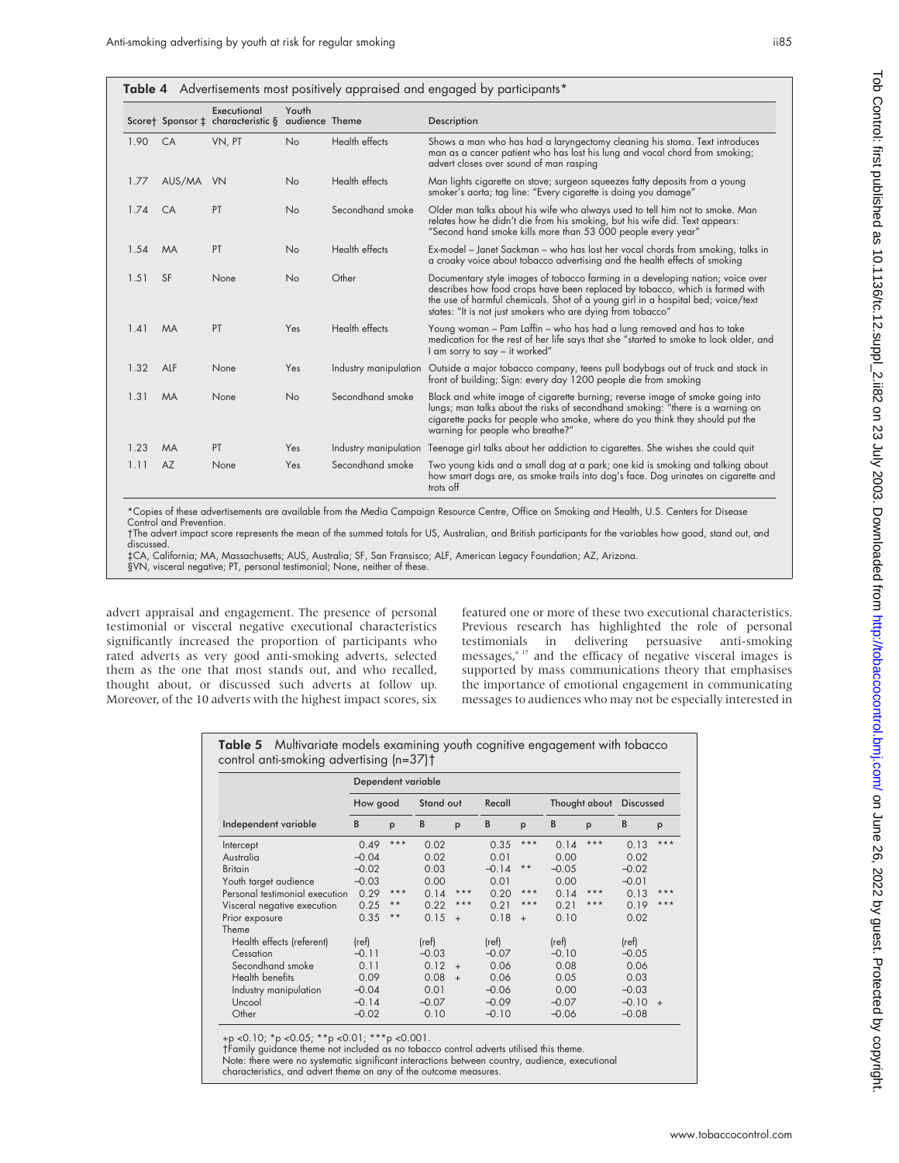|  | Table 4 Advertisements most positively appraised and engaged by participants* |  |  |  |  |
|--|-------------------------------------------------------------------------------|--|--|--|--|
|--|-------------------------------------------------------------------------------|--|--|--|--|

|      |           |                                                  |                         | .                |                                                                                                                                                                                                                                                                                                                   |
|------|-----------|--------------------------------------------------|-------------------------|------------------|-------------------------------------------------------------------------------------------------------------------------------------------------------------------------------------------------------------------------------------------------------------------------------------------------------------------|
|      |           | Executional<br>Scoret Sponsor ‡ characteristic § | Youth<br>audience Theme |                  | Description                                                                                                                                                                                                                                                                                                       |
| 1.90 | CA        | VN, PT                                           | <b>No</b>               | Health effects   | Shows a man who has had a laryngectomy cleaning his stoma. Text introduces<br>man as a cancer patient who has lost his lung and vocal chord from smoking;<br>advert closes over sound of man rasping                                                                                                              |
| 1.77 | AUS/MA VN |                                                  | No                      | Health effects   | Man lights cigarette on stove; surgeon squeezes fatty deposits from a young<br>smoker's aorta; tag line: "Every cigarette is doing you damage"                                                                                                                                                                    |
| 1.74 | CA        | PT                                               | No                      | Secondhand smoke | Older man talks about his wife who always used to tell him not to smoke. Man<br>relates how he didn't die from his smoking, but his wife did. Text appears:<br>"Second hand smoke kills more than 53 000 people every year"                                                                                       |
| 1.54 | <b>MA</b> | PT                                               | No                      | Health effects   | Ex-model – Janet Sackman – who has lost her vocal chords from smoking, talks in<br>a croaky voice about tobacco advertising and the health effects of smoking                                                                                                                                                     |
| 1.51 | <b>SF</b> | None                                             | No                      | Other            | Documentary style images of tobacco farming in a developing nation; voice over<br>describes how food crops have been replaced by tobacco, which is farmed with<br>the use of harmful chemicals. Shot of a young girl in a hospital bed; voice/text<br>states: "It is not just smokers who are dying from tobacco" |
| 1.41 | <b>MA</b> | PT                                               | Yes                     | Health effects   | Young woman – Pam Laffin – who has had a lung removed and has to take<br>medication for the rest of her life says that she "started to smoke to look older, and<br>I am sorry to say - it worked"                                                                                                                 |
| 1.32 | ALF       | None                                             | Yes                     |                  | Industry manipulation Outside a major tobacco company, teens pull bodybags out of truck and stack in<br>front of building; Sign: every day 1200 people die from smoking                                                                                                                                           |
| 1.31 | <b>MA</b> | None                                             | No                      | Secondhand smoke | Black and white image of cigarette burning; reverse image of smoke going into<br>lungs; man talks about the risks of secondhand smoking: "there is a warning on<br>cigarette packs for people who smoke, where do you think they should put the<br>warning for people who breathe?"                               |
| 1.23 | <b>MA</b> | PT                                               | Yes                     |                  | Industry manipulation Teenage girl talks about her addiction to cigarettes. She wishes she could quit                                                                                                                                                                                                             |
| 1.11 | <b>AZ</b> | None                                             | Yes                     | Secondhand smoke | Two young kids and a small dog at a park; one kid is smoking and talking about<br>how smart dogs are, as smoke trails into dog's face. Dog urinates on cigarette and<br>trots off                                                                                                                                 |

\*Copies of these advertisements are available from the Media Campaign Resource Centre, Office on Smoking and Health, U.S. Centers for Disease Control and Prevention.

†The advert impact score represents the mean of the summed totals for US, Australian, and British participants for the variables how good, stand out, and discussed.

‡CA, California; MA, Massachusetts; AUS, Australia; SF, San Fransisco; ALF, American Legacy Foundation; AZ, Arizona.

§VN, visceral negative; PT, personal testimonial; None, neither of these.

advert appraisal and engagement. The presence of personal testimonial or visceral negative executional characteristics significantly increased the proportion of participants who rated adverts as very good anti-smoking adverts, selected them as the one that most stands out, and who recalled, thought about, or discussed such adverts at follow up. Moreover, of the 10 adverts with the highest impact scores, six featured one or more of these two executional characteristics. Previous research has highlighted the role of personal testimonials in delivering persuasive anti-smoking messages,<sup>6 17</sup> and the efficacy of negative visceral images is supported by mass communications theory that emphasises the importance of emotional engagement in communicating messages to audiences who may not be especially interested in

Table 5 Multivariate models examining youth cognitive engagement with tobacco control anti-smoking advertising (n=37)†

|                                | Dependent variable |       |           |        |         |              |               |       |                  |        |
|--------------------------------|--------------------|-------|-----------|--------|---------|--------------|---------------|-------|------------------|--------|
|                                | How good           |       | Stand out |        | Recall  |              | Thought about |       | <b>Discussed</b> |        |
| Independent variable           | B                  | p     | B         | p      | B       | p            | B             | p     | B                | p      |
| Intercept                      | 0.49               | $***$ | 0.02      |        | 0.35    | $***$        | 0.14          | $***$ | 0.13             | $***$  |
| Australia                      | $-0.04$            |       | 0.02      |        | 0.01    |              | 0.00          |       | 0.02             |        |
| <b>Britain</b>                 | $-0.02$            |       | 0.03      |        | $-0.14$ | $\star\star$ | $-0.05$       |       | $-0.02$          |        |
| Youth target audience          | $-0.03$            |       | 0.00      |        | 0.01    |              | 0.00          |       | $-0.01$          |        |
| Personal testimonial execution | 0.29               | ***   | 0.14      | $***$  | 0.20    | $***$        | 0.14          | ***   | 0.13             | $***$  |
| Visceral negative execution    | 0.25               | $* *$ | 0.22      | $***$  | 0.21    | $***$        | 0.21          | $***$ | 0.19             | $***$  |
| Prior exposure                 | 0.35               | $* *$ | 0.15      | $^{+}$ | 0.18    | $+$          | 0.10          |       | 0.02             |        |
| Theme                          |                    |       |           |        |         |              |               |       |                  |        |
| Health effects (referent)      | (ref)              |       | (ref)     |        | (ref)   |              | (ref)         |       | (ref)            |        |
| Cessation                      | $-0.11$            |       | $-0.03$   |        | $-0.07$ |              | $-0.10$       |       | $-0.05$          |        |
| Secondhand smoke               | 0.11               |       | 0.12      | $+$    | 0.06    |              | 0.08          |       | 0.06             |        |
| Health benefits                | 0.09               |       | 0.08      | $+$    | 0.06    |              | 0.05          |       | 0.03             |        |
| Industry manipulation          | $-0.04$            |       | 0.01      |        | $-0.06$ |              | 0.00          |       | $-0.03$          |        |
| Uncool                         | $-0.14$            |       | $-0.07$   |        | $-0.09$ |              | $-0.07$       |       | $-0.10$          | $^{+}$ |
| Other                          | $-0.02$            |       | 0.10      |        | $-0.10$ |              | $-0.06$       |       | $-0.08$          |        |

+p <0.10; \*p <0.05; \*\*p <0.01; \*\*\*p <0.001.

†Family guidance theme not included as no tobacco control adverts utilised this theme.

Note: there were no systematic significant interactions between country, audience, executional characteristics, and advert theme on any of the outcome measures.